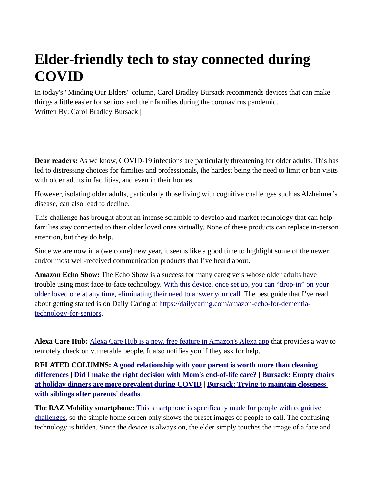## **Elder-friendly tech to stay connected during COVID**

In today's "Minding Our Elders" column, Carol Bradley Bursack recommends devices that can make things a little easier for seniors and their families during the coronavirus pandemic. Written By: Carol Bradley Bursack |

**Dear readers:** As we know, COVID-19 infections are particularly threatening for older adults. This has led to distressing choices for families and professionals, the hardest being the need to limit or ban visits with older adults in facilities, and even in their homes.

However, isolating older adults, particularly those living with cognitive challenges such as Alzheimer's disease, can also lead to decline.

This challenge has brought about an intense scramble to develop and market technology that can help families stay connected to their older loved ones virtually. None of these products can replace in-person attention, but they do help.

Since we are now in a (welcome) new year, it seems like a good time to highlight some of the newer and/or most well-received communication products that I've heard about.

**Amazon Echo Show:** The Echo Show is a success for many caregivers whose older adults have trouble using most face-to-face technology. [With this device, once set up, you can "drop-in" on your](https://www.amazon.com/All-new-Echo-Show-2nd-Gen/dp/B077SXWSRP/ref=sr_1_1?dchild=1&keywords=echo+show&qid=1608059724&sr=8-1)  [older loved one at any time, eliminating their need to answer your call.](https://www.amazon.com/All-new-Echo-Show-2nd-Gen/dp/B077SXWSRP/ref=sr_1_1?dchild=1&keywords=echo+show&qid=1608059724&sr=8-1) The best guide that I've read about getting started is on Daily Caring at [https://dailycaring.com/amazon-echo-for-dementia](https://dailycaring.com/amazon-echo-for-dementia-technology-for-seniors/)[technology-for-seniors.](https://dailycaring.com/amazon-echo-for-dementia-technology-for-seniors/)

**Alexa Care Hub:** [Alexa Care Hub is a new, free feature in Amazon's Alexa app](https://www.amazon.com/Alexa-Care-Hub/b?ie=UTF8&node=21390531011) that provides a way to remotely check on vulnerable people. It also notifies you if they ask for help.

**RELATED COLUMNS: [A good relationship with your parent is worth more than cleaning](https://www.grandforksherald.com/newsmd/wellness/6781634-A-good-relationship-with-your-parent-is-worth-more-than-cleaning-differences)  [differences](https://www.grandforksherald.com/newsmd/wellness/6781634-A-good-relationship-with-your-parent-is-worth-more-than-cleaning-differences) | [Did I make the right decision with Mom's end-of-life care?](https://www.grandforksherald.com/newsmd/wellness/6771444-Did-I-make-the-right-decision-with-Moms-end-of-life-care) | [Bursack: Empty chairs](https://www.grandforksherald.com/newsmd/wellness/6763984-Bursack-Empty-chairs-at-holiday-dinners-are-more-prevalent-during-COVID)  [at holiday dinners are more prevalent during COVID](https://www.grandforksherald.com/newsmd/wellness/6763984-Bursack-Empty-chairs-at-holiday-dinners-are-more-prevalent-during-COVID) | [Bursack: Trying to maintain closeness](https://www.grandforksherald.com/newsmd/wellness/6751308-Bursack-Trying-to-maintain-closeness-with-siblings-after-parents-deaths)  [with siblings after parents' deaths](https://www.grandforksherald.com/newsmd/wellness/6751308-Bursack-Trying-to-maintain-closeness-with-siblings-after-parents-deaths)**

**The RAZ Mobility smartphone:** [This smartphone is specifically made for people with cognitive](https://www.razmobility.com/)  [challenges,](https://www.razmobility.com/) so the simple home screen only shows the preset images of people to call. The confusing technology is hidden. Since the device is always on, the elder simply touches the image of a face and